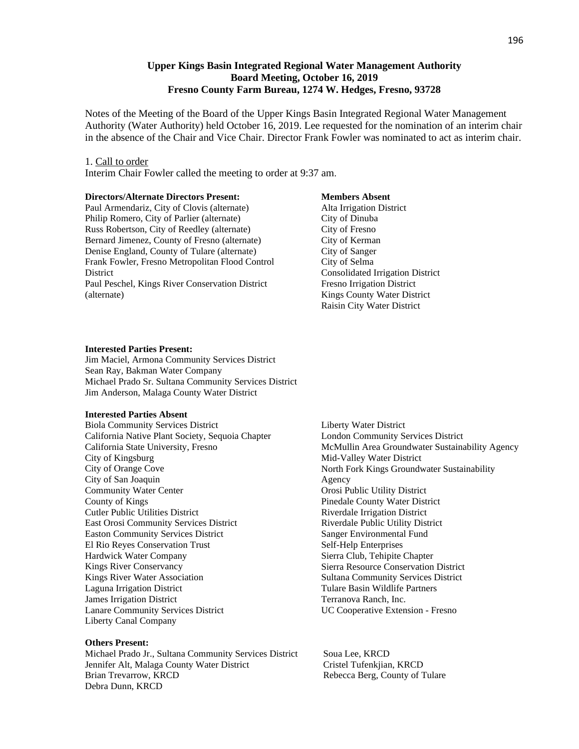## **Upper Kings Basin Integrated Regional Water Management Authority Board Meeting, October 16, 2019 Fresno County Farm Bureau, 1274 W. Hedges, Fresno, 93728**

Notes of the Meeting of the Board of the Upper Kings Basin Integrated Regional Water Management Authority (Water Authority) held October 16, 2019. Lee requested for the nomination of an interim chair in the absence of the Chair and Vice Chair. Director Frank Fowler was nominated to act as interim chair.

### 1. Call to order

Interim Chair Fowler called the meeting to order at 9:37 am.

#### **Directors/Alternate Directors Present:**

Paul Armendariz, City of Clovis (alternate) Philip Romero, City of Parlier (alternate) Russ Robertson, City of Reedley (alternate) Bernard Jimenez, County of Fresno (alternate) Denise England, County of Tulare (alternate) Frank Fowler, Fresno Metropolitan Flood Control **District** Paul Peschel, Kings River Conservation District (alternate)

## **Members Absent**

Alta Irrigation District City of Dinuba City of Fresno City of Kerman City of Sanger City of Selma Consolidated Irrigation District Fresno Irrigation District Kings County Water District Raisin City Water District

#### **Interested Parties Present:**

Jim Maciel, Armona Community Services District Sean Ray, Bakman Water Company Michael Prado Sr. Sultana Community Services District Jim Anderson, Malaga County Water District

#### **Interested Parties Absent**

Biola Community Services District California Native Plant Society, Sequoia Chapter California State University, Fresno City of Kingsburg City of Orange Cove City of San Joaquin Community Water Center County of Kings Cutler Public Utilities District East Orosi Community Services District Easton Community Services District El Rio Reyes Conservation Trust Hardwick Water Company Kings River Conservancy Kings River Water Association Laguna Irrigation District James Irrigation District Lanare Community Services District Liberty Canal Company

## **Others Present:**

Michael Prado Jr., Sultana Community Services District Soua Lee, KRCD Jennifer Alt, Malaga County Water District Cristel Tufenkjian, KRCD Brian Trevarrow, KRCD **Rebecca Berg, County of Tulare** Debra Dunn, KRCD

Liberty Water District London Community Services District McMullin Area Groundwater Sustainability Agency Mid-Valley Water District North Fork Kings Groundwater Sustainability Agency Orosi Public Utility District Pinedale County Water District Riverdale Irrigation District Riverdale Public Utility District Sanger Environmental Fund Self-Help Enterprises Sierra Club, Tehipite Chapter Sierra Resource Conservation District Sultana Community Services District Tulare Basin Wildlife Partners Terranova Ranch, Inc. UC Cooperative Extension - Fresno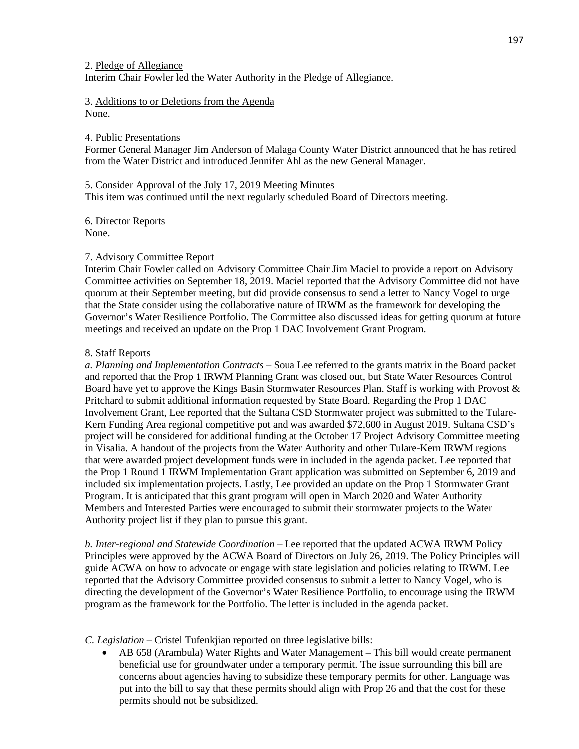3. Additions to or Deletions from the Agenda None.

## 4. Public Presentations

Former General Manager Jim Anderson of Malaga County Water District announced that he has retired from the Water District and introduced Jennifer Ahl as the new General Manager.

## 5. Consider Approval of the July 17, 2019 Meeting Minutes

This item was continued until the next regularly scheduled Board of Directors meeting.

6. Director Reports

# None.

# 7. Advisory Committee Report

Interim Chair Fowler called on Advisory Committee Chair Jim Maciel to provide a report on Advisory Committee activities on September 18, 2019. Maciel reported that the Advisory Committee did not have quorum at their September meeting, but did provide consensus to send a letter to Nancy Vogel to urge that the State consider using the collaborative nature of IRWM as the framework for developing the Governor's Water Resilience Portfolio. The Committee also discussed ideas for getting quorum at future meetings and received an update on the Prop 1 DAC Involvement Grant Program.

# 8. Staff Reports

*a. Planning and Implementation Contracts* – Soua Lee referred to the grants matrix in the Board packet and reported that the Prop 1 IRWM Planning Grant was closed out, but State Water Resources Control Board have yet to approve the Kings Basin Stormwater Resources Plan. Staff is working with Provost & Pritchard to submit additional information requested by State Board. Regarding the Prop 1 DAC Involvement Grant, Lee reported that the Sultana CSD Stormwater project was submitted to the Tulare-Kern Funding Area regional competitive pot and was awarded \$72,600 in August 2019. Sultana CSD's project will be considered for additional funding at the October 17 Project Advisory Committee meeting in Visalia. A handout of the projects from the Water Authority and other Tulare-Kern IRWM regions that were awarded project development funds were in included in the agenda packet. Lee reported that the Prop 1 Round 1 IRWM Implementation Grant application was submitted on September 6, 2019 and included six implementation projects. Lastly, Lee provided an update on the Prop 1 Stormwater Grant Program. It is anticipated that this grant program will open in March 2020 and Water Authority Members and Interested Parties were encouraged to submit their stormwater projects to the Water Authority project list if they plan to pursue this grant.

*b. Inter-regional and Statewide Coordination* – Lee reported that the updated ACWA IRWM Policy Principles were approved by the ACWA Board of Directors on July 26, 2019. The Policy Principles will guide ACWA on how to advocate or engage with state legislation and policies relating to IRWM. Lee reported that the Advisory Committee provided consensus to submit a letter to Nancy Vogel, who is directing the development of the Governor's Water Resilience Portfolio, to encourage using the IRWM program as the framework for the Portfolio. The letter is included in the agenda packet.

# *C. Legislation* – Cristel Tufenkjian reported on three legislative bills:

• AB 658 (Arambula) Water Rights and Water Management – This bill would create permanent beneficial use for groundwater under a temporary permit. The issue surrounding this bill are concerns about agencies having to subsidize these temporary permits for other. Language was put into the bill to say that these permits should align with Prop 26 and that the cost for these permits should not be subsidized.